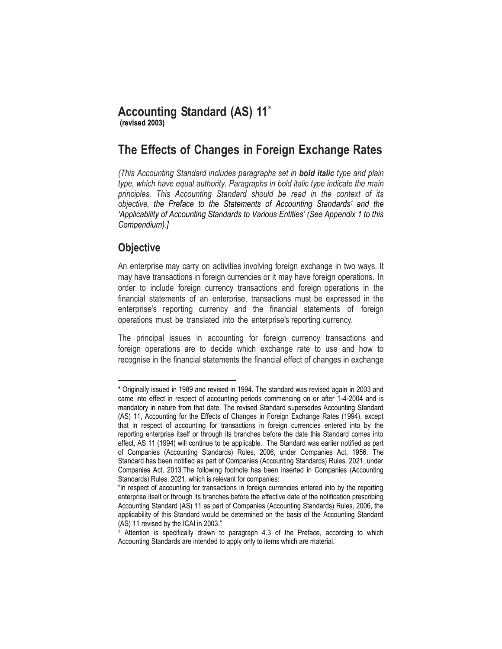### **Accounting Standard (AS) 11 (revised 2003)**

# **The Effects of Changes in Foreign Exchange Rates**

*(This Accounting Standard includes paragraphs set in bold italic type and plain type, which have equal authority. Paragraphs in bold italic type indicate the main principles. This Accounting Standard should be read in the context of its objective, the Preface to the Statements of Accounting Standards<sup>1</sup> and the 'Applicability of Accounting Standards to Various Entities' (See Appendix 1 to this Compendium).]* 

## **Objective**

l

An enterprise may carry on activities involving foreign exchange in two ways. It may have transactions in foreign currencies or it may have foreign operations. In order to include foreign currency transactions and foreign operations in the financial statements of an enterprise, transactions must be expressed in the enterprise's reporting currency and the financial statements of foreign operations must be translated into the enterprise's reporting currency.

The principal issues in accounting for foreign currency transactions and foreign operations are to decide which exchange rate to use and how to recognise in the financial statements the financial effect of changes in exchange

<sup>\*</sup> Originally issued in 1989 and revised in 1994. The standard was revised again in 2003 and came into effect in respect of accounting periods commencing on or after 1-4-2004 and is mandatory in nature from that date. The revised Standard supersedes Accounting Standard (AS) 11, Accounting for the Effects of Changes in Foreign Exchange Rates (1994), except that in respect of accounting for transactions in foreign currencies entered into by the reporting enterprise itself or through its branches before the date this Standard comes into effect, AS 11 (1994) will continue to be applicable. The Standard was earlier notified as part of Companies (Accounting Standards) Rules, 2006, under Companies Act, 1956. The Standard has been notified as part of Companies (Accounting Standards) Rules, 2021, under Companies Act, 2013.The following footnote has been inserted in Companies (Accounting Standards) Rules, 2021, which is relevant for companies:

<sup>&</sup>quot;In respect of accounting for transactions in foreign currencies entered into by the reporting enterprise itself or through its branches before the effective date of the notification prescribing Accounting Standard (AS) 11 as part of Companies (Accounting Standards) Rules, 2006, the applicability of this Standard would be determined on the basis of the Accounting Standard (AS) 11 revised by the ICAI in 2003."

<sup>1</sup> Attention is specifically drawn to paragraph 4.3 of the Preface, according to which Accounting Standards are intended to apply only to items which are material.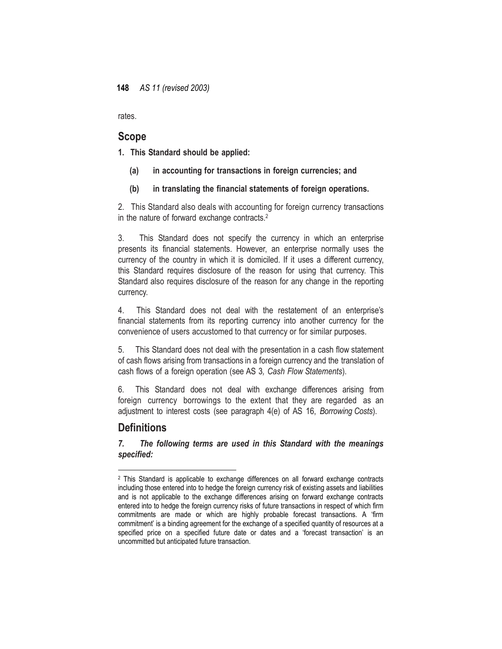rates.

### **Scope**

**1. This Standard should be applied:**

- **(a) in accounting for transactions in foreign currencies; and**
- **(b) in translating the financial statements of foreign operations.**

2. This Standard also deals with accounting for foreign currency transactions in the nature of forward exchange contracts. 2

3. This Standard does not specify the currency in which an enterprise presents its financial statements. However, an enterprise normally uses the currency of the country in which it is domiciled. If it uses a different currency, this Standard requires disclosure of the reason for using that currency. This Standard also requires disclosure of the reason for any change in the reporting currency.

4. This Standard does not deal with the restatement of an enterprise's financial statements from its reporting currency into another currency for the convenience of users accustomed to that currency or for similar purposes.

5. This Standard does not deal with the presentation in a cash flow statement of cash flows arising from transactions in a foreign currency and the translation of cash flows of a foreign operation (see AS 3*, Cash Flow Statements*).

6. This Standard does not deal with exchange differences arising from foreign currency borrowings to the extent that they are regarded as an adjustment to interest costs (see paragraph 4(e) of AS 16, *Borrowing Costs*).

## **Definitions**

 $\overline{a}$ 

*7. The following terms are used in this Standard with the meanings specified:*

<sup>&</sup>lt;sup>2</sup> This Standard is applicable to exchange differences on all forward exchange contracts including those entered into to hedge the foreign currency risk of existing assets and liabilities and is not applicable to the exchange differences arising on forward exchange contracts entered into to hedge the foreign currency risks of future transactions in respect of which firm commitments are made or which are highly probable forecast transactions. A 'firm commitment' is a binding agreement for the exchange of a specified quantity of resources at a specified price on a specified future date or dates and a 'forecast transaction' is an uncommitted but anticipated future transaction.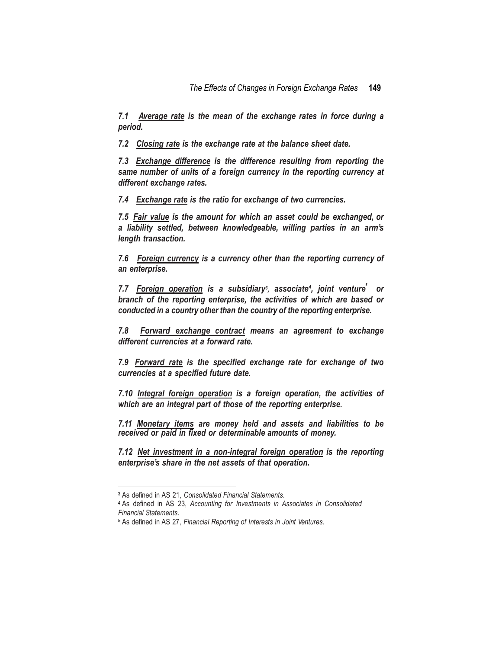*7.1 Average rate is the mean of the exchange rates in force during a period.*

*7.2 Closing rate is the exchange rate at the balance sheet date.*

*7.3 Exchange difference is the difference resulting from reporting the same number of units of a foreign currency in the reporting currency at different exchange rates.*

*7.4 Exchange rate is the ratio for exchange of two currencies.*

*7.5 Fair value is the amount for which an asset could be exchanged, or a liability settled, between knowledgeable, willing parties in an arm's length transaction.*

*7.6 Foreign currency is a currency other than the reporting currency of an enterprise.*

*7.7 Foreign operation is a subsidiary<sup>3</sup> , associate<sup>4</sup> , joint venture<sup>5</sup> or branch of the reporting enterprise, the activities of which are based or conducted in a country other than the country of the reporting enterprise.*

*7.8 Forward exchange contract means an agreement to exchange different currencies at a forward rate.*

*7.9 Forward rate is the specified exchange rate for exchange of two currencies at a specified future date.*

*7.10 Integral foreign operation is a foreign operation, the activities of which are an integral part of those of the reporting enterprise.*

*7.11 Monetary items are money held and assets and liabilities to be received or paid in fixed or determinable amounts of money.*

*7.12 Net investment in a non-integral foreign operation is the reporting enterprise's share in the net assets of that operation.*

l

<sup>3</sup> As defined in AS 21, *Consolidated Financial Statements*.

<sup>4</sup> As defined in AS 23, *Accounting for Investments in Associates in Consolidated Financial Statements*.

<sup>5</sup> As defined in AS 27, *Financial Reporting of Interests in Joint Ventures*.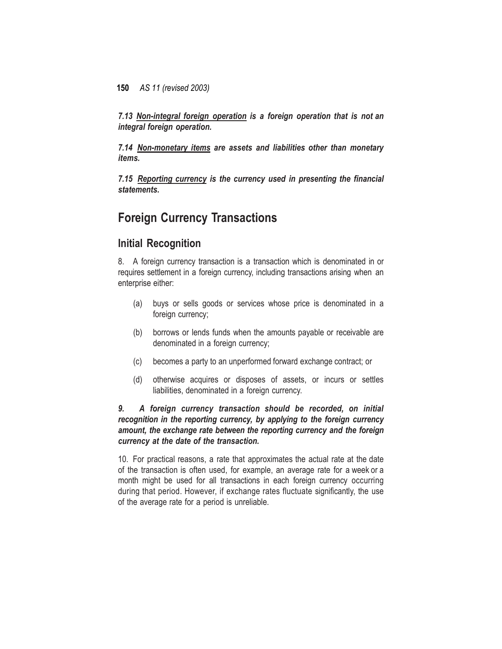*7.13 Non-integral foreign operation is a foreign operation that is not an integral foreign operation.*

*7.14 Non-monetary items are assets and liabilities other than monetary items.*

*7.15 Reporting currency is the currency used in presenting the financial statements.*

# **Foreign Currency Transactions**

## **Initial Recognition**

8. A foreign currency transaction is a transaction which is denominated in or requires settlement in a foreign currency, including transactions arising when an enterprise either:

- (a) buys or sells goods or services whose price is denominated in a foreign currency;
- (b) borrows or lends funds when the amounts payable or receivable are denominated in a foreign currency;
- (c) becomes a party to an unperformed forward exchange contract; or
- (d) otherwise acquires or disposes of assets, or incurs or settles liabilities, denominated in a foreign currency.

### *9. A foreign currency transaction should be recorded, on initial recognition in the reporting currency, by applying to the foreign currency amount, the exchange rate between the reporting currency and the foreign currency at the date of the transaction.*

10. For practical reasons, a rate that approximates the actual rate at the date of the transaction is often used, for example, an average rate for a week or a month might be used for all transactions in each foreign currency occurring during that period. However, if exchange rates fluctuate significantly, the use of the average rate for a period is unreliable.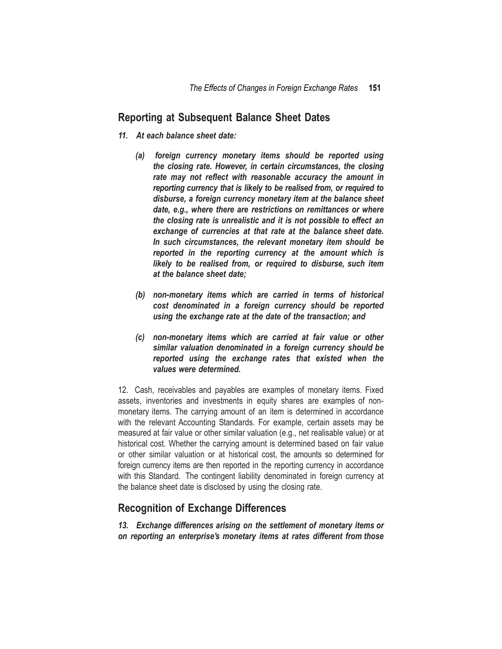## **Reporting at Subsequent Balance Sheet Dates**

- *11. At each balance sheet date:*
	- *(a) foreign currency monetary items should be reported using the closing rate. However, in certain circumstances, the closing rate may not reflect with reasonable accuracy the amount in reporting currency that is likely to be realised from, or required to disburse, a foreign currency monetary item at the balance sheet date, e.g., where there are restrictions on remittances or where the closing rate is unrealistic and it is not possible to effect an exchange of currencies at that rate at the balance sheet date. In such circumstances, the relevant monetary item should be reported in the reporting currency at the amount which is likely to be realised from, or required to disburse, such item at the balance sheet date;*
	- *(b) non-monetary items which are carried in terms of historical cost denominated in a foreign currency should be reported using the exchange rate at the date of the transaction; and*
	- *(c) non-monetary items which are carried at fair value or other similar valuation denominated in a foreign currency should be reported using the exchange rates that existed when the values were determined.*

12. Cash, receivables and payables are examples of monetary items. Fixed assets, inventories and investments in equity shares are examples of nonmonetary items. The carrying amount of an item is determined in accordance with the relevant Accounting Standards. For example, certain assets may be measured at fair value or other similar valuation (e.g., net realisable value) or at historical cost. Whether the carrying amount is determined based on fair value or other similar valuation or at historical cost, the amounts so determined for foreign currency items are then reported in the reporting currency in accordance with this Standard. The contingent liability denominated in foreign currency at the balance sheet date is disclosed by using the closing rate.

## **Recognition of Exchange Differences**

*13. Exchange differences arising on the settlement of monetary items or on reporting an enterprise's monetary items at rates different from those*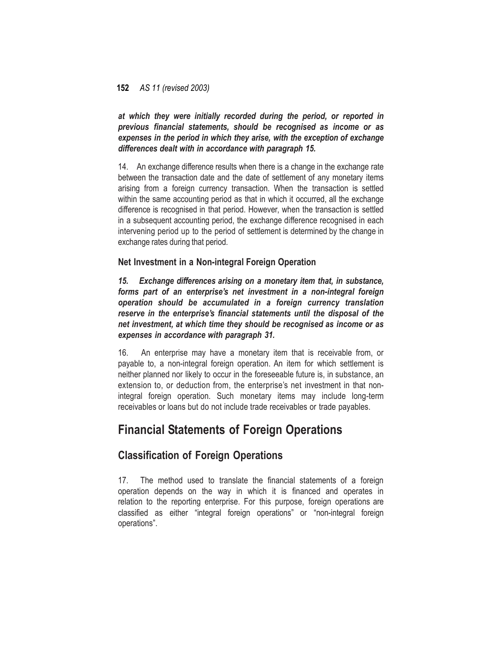*at which they were initially recorded during the period, or reported in previous financial statements, should be recognised as income or as expenses in the period in which they arise, with the exception of exchange differences dealt with in accordance with paragraph 15.*

14. An exchange difference results when there is a change in the exchange rate between the transaction date and the date of settlement of any monetary items arising from a foreign currency transaction. When the transaction is settled within the same accounting period as that in which it occurred, all the exchange difference is recognised in that period. However, when the transaction is settled in a subsequent accounting period, the exchange difference recognised in each intervening period up to the period of settlement is determined by the change in exchange rates during that period.

### **Net Investment in a Non-integral Foreign Operation**

*15. Exchange differences arising on a monetary item that, in substance, forms part of an enterprise's net investment in a non-integral foreign operation should be accumulated in a foreign currency translation reserve in the enterprise's financial statements until the disposal of the net investment, at which time they should be recognised as income or as expenses in accordance with paragraph 31.*

16. An enterprise may have a monetary item that is receivable from, or payable to, a non-integral foreign operation. An item for which settlement is neither planned nor likely to occur in the foreseeable future is, in substance, an extension to, or deduction from, the enterprise's net investment in that nonintegral foreign operation. Such monetary items may include long-term receivables or loans but do not include trade receivables or trade payables.

# **Financial Statements of Foreign Operations**

## **Classification of Foreign Operations**

17. The method used to translate the financial statements of a foreign operation depends on the way in which it is financed and operates in relation to the reporting enterprise. For this purpose, foreign operations are classified as either "integral foreign operations" or "non-integral foreign operations".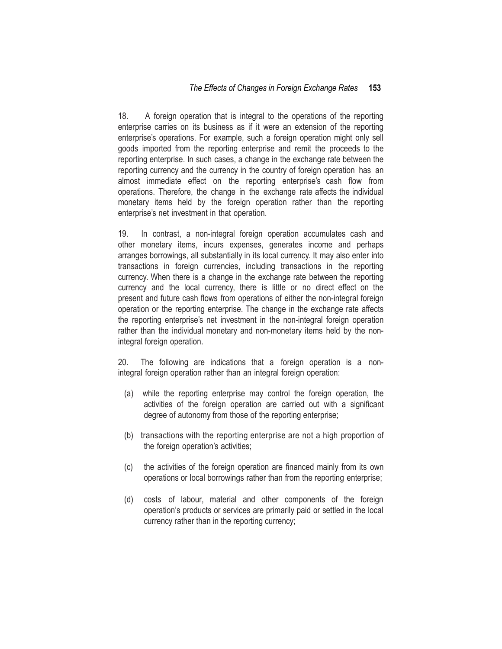18. A foreign operation that is integral to the operations of the reporting enterprise carries on its business as if it were an extension of the reporting enterprise's operations. For example, such a foreign operation might only sell goods imported from the reporting enterprise and remit the proceeds to the reporting enterprise. In such cases, a change in the exchange rate between the reporting currency and the currency in the country of foreign operation has an almost immediate effect on the reporting enterprise's cash flow from operations. Therefore, the change in the exchange rate affects the individual monetary items held by the foreign operation rather than the reporting enterprise's net investment in that operation.

19. In contrast, a non-integral foreign operation accumulates cash and other monetary items, incurs expenses, generates income and perhaps arranges borrowings, all substantially in its local currency. It may also enter into transactions in foreign currencies, including transactions in the reporting currency. When there is a change in the exchange rate between the reporting currency and the local currency, there is little or no direct effect on the present and future cash flows from operations of either the non-integral foreign operation or the reporting enterprise. The change in the exchange rate affects the reporting enterprise's net investment in the non-integral foreign operation rather than the individual monetary and non-monetary items held by the nonintegral foreign operation.

20. The following are indications that a foreign operation is a nonintegral foreign operation rather than an integral foreign operation:

- (a) while the reporting enterprise may control the foreign operation, the activities of the foreign operation are carried out with a significant degree of autonomy from those of the reporting enterprise;
- (b) transactions with the reporting enterprise are not a high proportion of the foreign operation's activities;
- (c) the activities of the foreign operation are financed mainly from its own operations or local borrowings rather than from the reporting enterprise;
- (d) costs of labour, material and other components of the foreign operation's products or services are primarily paid or settled in the local currency rather than in the reporting currency;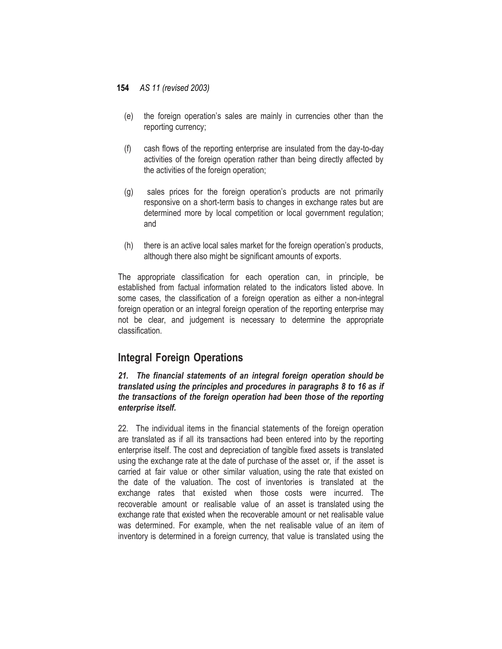- (e) the foreign operation's sales are mainly in currencies other than the reporting currency;
- (f) cash flows of the reporting enterprise are insulated from the day-to-day activities of the foreign operation rather than being directly affected by the activities of the foreign operation;
- (g) sales prices for the foreign operation's products are not primarily responsive on a short-term basis to changes in exchange rates but are determined more by local competition or local government regulation; and
- (h) there is an active local sales market for the foreign operation's products, although there also might be significant amounts of exports.

The appropriate classification for each operation can, in principle, be established from factual information related to the indicators listed above. In some cases, the classification of a foreign operation as either a non-integral foreign operation or an integral foreign operation of the reporting enterprise may not be clear, and judgement is necessary to determine the appropriate classification.

## **Integral Foreign Operations**

### *21. The financial statements of an integral foreign operation should be translated using the principles and procedures in paragraphs 8 to 16 as if the transactions of the foreign operation had been those of the reporting enterprise itself.*

22. The individual items in the financial statements of the foreign operation are translated as if all its transactions had been entered into by the reporting enterprise itself. The cost and depreciation of tangible fixed assets is translated using the exchange rate at the date of purchase of the asset or, if the asset is carried at fair value or other similar valuation, using the rate that existed on the date of the valuation. The cost of inventories is translated at the exchange rates that existed when those costs were incurred. The recoverable amount or realisable value of an asset is translated using the exchange rate that existed when the recoverable amount or net realisable value was determined. For example, when the net realisable value of an item of inventory is determined in a foreign currency, that value is translated using the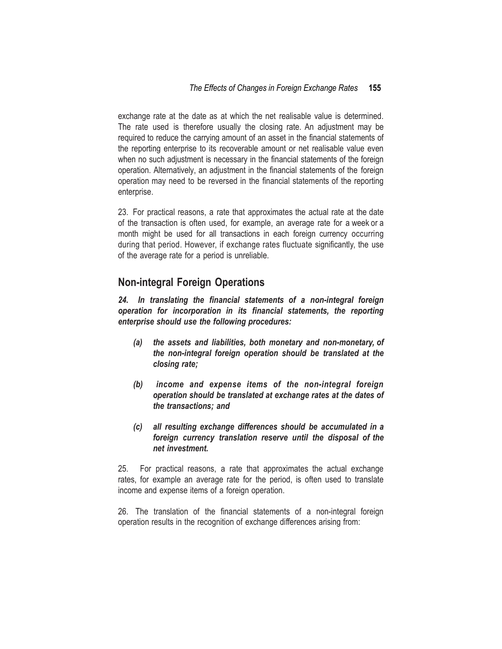exchange rate at the date as at which the net realisable value is determined. The rate used is therefore usually the closing rate. An adjustment may be required to reduce the carrying amount of an asset in the financial statements of the reporting enterprise to its recoverable amount or net realisable value even when no such adjustment is necessary in the financial statements of the foreign operation. Alternatively, an adjustment in the financial statements of the foreign operation may need to be reversed in the financial statements of the reporting enterprise.

23. For practical reasons, a rate that approximates the actual rate at the date of the transaction is often used, for example, an average rate for a week or a month might be used for all transactions in each foreign currency occurring during that period. However, if exchange rates fluctuate significantly, the use of the average rate for a period is unreliable.

## **Non-integral Foreign Operations**

*24. In translating the financial statements of a non-integral foreign operation for incorporation in its financial statements, the reporting enterprise should use the following procedures:*

- *(a) the assets and liabilities, both monetary and non-monetary, of the non-integral foreign operation should be translated at the closing rate;*
- *(b) income and expense items of the non-integral foreign operation should be translated at exchange rates at the dates of the transactions; and*
- *(c) all resulting exchange differences should be accumulated in a foreign currency translation reserve until the disposal of the net investment.*

25. For practical reasons, a rate that approximates the actual exchange rates, for example an average rate for the period, is often used to translate income and expense items of a foreign operation.

26. The translation of the financial statements of a non-integral foreign operation results in the recognition of exchange differences arising from: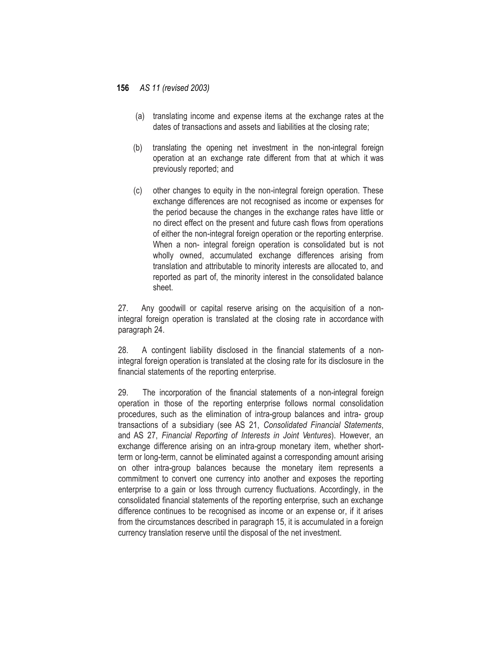- (a) translating income and expense items at the exchange rates at the dates of transactions and assets and liabilities at the closing rate;
- (b) translating the opening net investment in the non-integral foreign operation at an exchange rate different from that at which it was previously reported; and
- (c) other changes to equity in the non-integral foreign operation. These exchange differences are not recognised as income or expenses for the period because the changes in the exchange rates have little or no direct effect on the present and future cash flows from operations of either the non-integral foreign operation or the reporting enterprise. When a non- integral foreign operation is consolidated but is not wholly owned, accumulated exchange differences arising from translation and attributable to minority interests are allocated to, and reported as part of, the minority interest in the consolidated balance sheet.

27. Any goodwill or capital reserve arising on the acquisition of a nonintegral foreign operation is translated at the closing rate in accordance with paragraph 24.

28. A contingent liability disclosed in the financial statements of a nonintegral foreign operation is translated at the closing rate for its disclosure in the financial statements of the reporting enterprise.

29. The incorporation of the financial statements of a non-integral foreign operation in those of the reporting enterprise follows normal consolidation procedures, such as the elimination of intra-group balances and intra- group transactions of a subsidiary (see AS 21, *Consolidated Financial Statements*, and AS 27, *Financial Reporting of Interests in Joint Ventures*). However, an exchange difference arising on an intra-group monetary item, whether shortterm or long-term, cannot be eliminated against a corresponding amount arising on other intra-group balances because the monetary item represents a commitment to convert one currency into another and exposes the reporting enterprise to a gain or loss through currency fluctuations. Accordingly, in the consolidated financial statements of the reporting enterprise, such an exchange difference continues to be recognised as income or an expense or, if it arises from the circumstances described in paragraph 15, it is accumulated in a foreign currency translation reserve until the disposal of the net investment.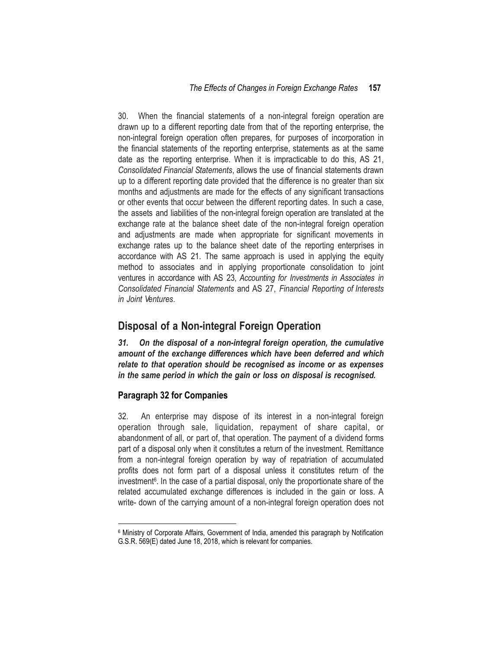30. When the financial statements of a non-integral foreign operation are drawn up to a different reporting date from that of the reporting enterprise, the non-integral foreign operation often prepares, for purposes of incorporation in the financial statements of the reporting enterprise, statements as at the same date as the reporting enterprise. When it is impracticable to do this, AS 21, *Consolidated Financial Statements*, allows the use of financial statements drawn up to a different reporting date provided that the difference is no greater than six months and adjustments are made for the effects of any significant transactions or other events that occur between the different reporting dates. In such a case, the assets and liabilities of the non-integral foreign operation are translated at the exchange rate at the balance sheet date of the non-integral foreign operation and adjustments are made when appropriate for significant movements in exchange rates up to the balance sheet date of the reporting enterprises in accordance with AS 21. The same approach is used in applying the equity method to associates and in applying proportionate consolidation to joint ventures in accordance with AS 23, *Accounting for Investments in Associates in Consolidated Financial Statements* and AS 27, *Financial Reporting of Interests in Joint Ventures*.

## **Disposal of a Non-integral Foreign Operation**

*31. On the disposal of a non-integral foreign operation, the cumulative amount of the exchange differences which have been deferred and which relate to that operation should be recognised as income or as expenses in the same period in which the gain or loss on disposal is recognised.*

### **Paragraph 32 for Companies**

 $\overline{\phantom{a}}$ 

32. An enterprise may dispose of its interest in a non-integral foreign operation through sale, liquidation, repayment of share capital, or abandonment of all, or part of, that operation. The payment of a dividend forms part of a disposal only when it constitutes a return of the investment. Remittance from a non-integral foreign operation by way of repatriation of accumulated profits does not form part of a disposal unless it constitutes return of the investment<sup>6</sup>. In the case of a partial disposal, only the proportionate share of the related accumulated exchange differences is included in the gain or loss. A write- down of the carrying amount of a non-integral foreign operation does not

<sup>&</sup>lt;sup>6</sup> Ministry of Corporate Affairs, Government of India, amended this paragraph by Notification G.S.R. 569(E) dated June 18, 2018, which is relevant for companies.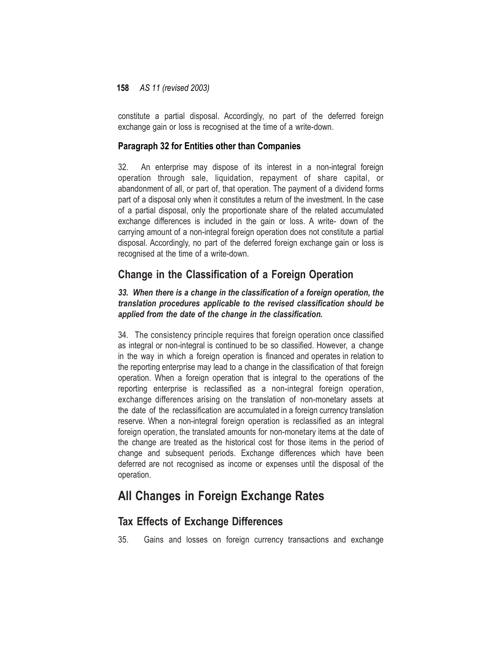constitute a partial disposal. Accordingly, no part of the deferred foreign exchange gain or loss is recognised at the time of a write-down.

### **Paragraph 32 for Entities other than Companies**

32. An enterprise may dispose of its interest in a non-integral foreign operation through sale, liquidation, repayment of share capital, or abandonment of all, or part of, that operation. The payment of a dividend forms part of a disposal only when it constitutes a return of the investment. In the case of a partial disposal, only the proportionate share of the related accumulated exchange differences is included in the gain or loss. A write- down of the carrying amount of a non-integral foreign operation does not constitute a partial disposal. Accordingly, no part of the deferred foreign exchange gain or loss is recognised at the time of a write-down.

## **Change in the Classification of a Foreign Operation**

### *33. When there is a change in the classification of a foreign operation, the translation procedures applicable to the revised classification should be applied from the date of the change in the classification.*

34. The consistency principle requires that foreign operation once classified as integral or non-integral is continued to be so classified. However, a change in the way in which a foreign operation is financed and operates in relation to the reporting enterprise may lead to a change in the classification of that foreign operation. When a foreign operation that is integral to the operations of the reporting enterprise is reclassified as a non-integral foreign operation, exchange differences arising on the translation of non-monetary assets at the date of the reclassification are accumulated in a foreign currency translation reserve. When a non-integral foreign operation is reclassified as an integral foreign operation, the translated amounts for non-monetary items at the date of the change are treated as the historical cost for those items in the period of change and subsequent periods. Exchange differences which have been deferred are not recognised as income or expenses until the disposal of the operation.

# **All Changes in Foreign Exchange Rates**

## **Tax Effects of Exchange Differences**

35. Gains and losses on foreign currency transactions and exchange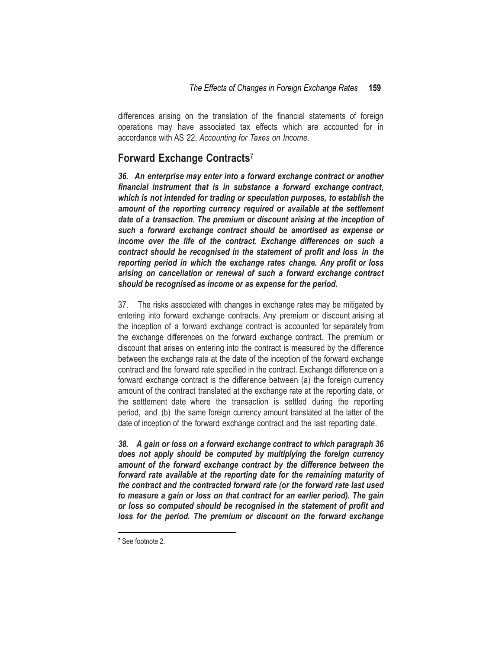differences arising on the translation of the financial statements of foreign operations may have associated tax effects which are accounted for in accordance with AS 22, *Accounting for Taxes on Income*.

## **Forward Exchange Contracts** 7

*36. An enterprise may enter into a forward exchange contract or another financial instrument that is in substance a forward exchange contract, which is not intended for trading or speculation purposes, to establish the amount of the reporting currency required or available at the settlement date of a transaction. The premium or discount arising at the inception of such a forward exchange contract should be amortised as expense or income over the life of the contract. Exchange differences on such a contract should be recognised in the statement of profit and loss in the reporting period in which the exchange rates change. Any profit or loss arising on cancellation or renewal of such a forward exchange contract should be recognised as income or as expense for the period.*

37. The risks associated with changes in exchange rates may be mitigated by entering into forward exchange contracts. Any premium or discount arising at the inception of a forward exchange contract is accounted for separately from the exchange differences on the forward exchange contract. The premium or discount that arises on entering into the contract is measured by the difference between the exchange rate at the date of the inception of the forward exchange contract and the forward rate specified in the contract. Exchange difference on a forward exchange contract is the difference between (a) the foreign currency amount of the contract translated at the exchange rate at the reporting date, or the settlement date where the transaction is settled during the reporting period, and (b) the same foreign currency amount translated at the latter of the date of inception of the forward exchange contract and the last reporting date.

*38. A gain or loss on a forward exchange contract to which paragraph 36 does not apply should be computed by multiplying the foreign currency amount of the forward exchange contract by the difference between the forward rate available at the reporting date for the remaining maturity of the contract and the contracted forward rate (or the forward rate last used to measure a gain or loss on that contract for an earlier period). The gain or loss so computed should be recognised in the statement of profit and loss for the period. The premium or discount on the forward exchange*

 $\overline{\phantom{a}}$ 

<sup>7</sup> See footnote 2.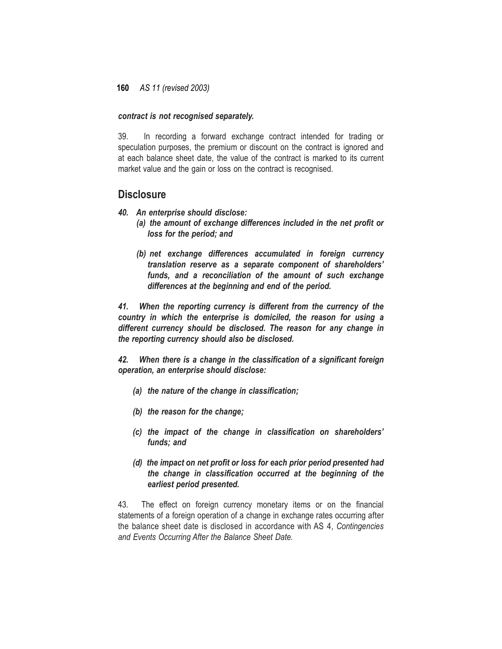#### *contract is not recognised separately.*

39. In recording a forward exchange contract intended for trading or speculation purposes, the premium or discount on the contract is ignored and at each balance sheet date, the value of the contract is marked to its current market value and the gain or loss on the contract is recognised.

### **Disclosure**

#### *40. An enterprise should disclose:*

- *(a) the amount of exchange differences included in the net profit or loss for the period; and*
- *(b) net exchange differences accumulated in foreign currency translation reserve as a separate component of shareholders' funds, and a reconciliation of the amount of such exchange differences at the beginning and end of the period.*

*41. When the reporting currency is different from the currency of the country in which the enterprise is domiciled, the reason for using a different currency should be disclosed. The reason for any change in the reporting currency should also be disclosed.*

*42. When there is a change in the classification of a significant foreign operation, an enterprise should disclose:*

- *(a) the nature of the change in classification;*
- *(b) the reason for the change;*
- *(c) the impact of the change in classification on shareholders' funds; and*
- *(d) the impact on net profit or loss for each prior period presented had the change in classification occurred at the beginning of the earliest period presented.*

43. The effect on foreign currency monetary items or on the financial statements of a foreign operation of a change in exchange rates occurring after the balance sheet date is disclosed in accordance with AS 4, *Contingencies and Events Occurring After the Balance Sheet Date.*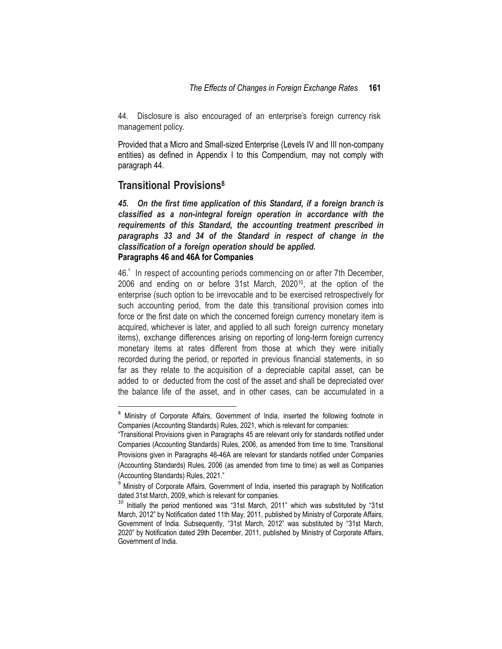44. Disclosure is also encouraged of an enterprise's foreign currency risk management policy.

Provided that a Micro and Small-sized Enterprise (Levels IV and III non-company entities) as defined in Appendix I to this Compendium, may not comply with paragraph 44.

## **Transitional Provisions<sup>8</sup>**

 $\overline{\phantom{a}}$ 

*45. On the first time application of this Standard, if a foreign branch is classified as a non-integral foreign operation in accordance with the requirements of this Standard, the accounting treatment prescribed in paragraphs 33 and 34 of the Standard in respect of change in the classification of a foreign operation should be applied.* **Paragraphs 46 and 46A for Companies**

46. In respect of accounting periods commencing on or after 7th December, 2006 and ending on or before 31st March, 2020<sup>10</sup> , at the option of the enterprise (such option to be irrevocable and to be exercised retrospectively for such accounting period, from the date this transitional provision comes into force or the first date on which the concerned foreign currency monetary item is acquired, whichever is later, and applied to all such foreign currency monetary items), exchange differences arising on reporting of long-term foreign currency monetary items at rates different from those at which they were initially recorded during the period, or reported in previous financial statements, in so far as they relate to the acquisition of a depreciable capital asset, can be added to or deducted from the cost of the asset and shall be depreciated over the balance life of the asset, and in other cases, can be accumulated in a

<sup>&</sup>lt;sup>8</sup> Ministry of Corporate Affairs, Government of India, inserted the following footnote in Companies (Accounting Standards) Rules, 2021, which is relevant for companies:

<sup>&</sup>quot;Transitional Provisions given in Paragraphs 45 are relevant only for standards notified under Companies (Accounting Standards) Rules, 2006, as amended from time to time. Transitional Provisions given in Paragraphs 46-46A are relevant for standards notified under Companies (Accounting Standards) Rules, 2006 (as amended from time to time) as well as Companies (Accounting Standards) Rules, 2021."

<sup>&</sup>lt;sup>9</sup> Ministry of Corporate Affairs, Government of India, inserted this paragraph by Notification dated 31st March, 2009, which is relevant for companies.

<sup>&</sup>lt;sup>10</sup> Initially the period mentioned was "31st March, 2011" which was substituted by "31st March, 2012" by Notification dated 11th May, 2011, published by Ministry of Corporate Affairs, Government of India. Subsequently, "31st March, 2012" was substituted by "31st March, 2020" by Notification dated 29th December, 2011, published by Ministry of Corporate Affairs, Government of India.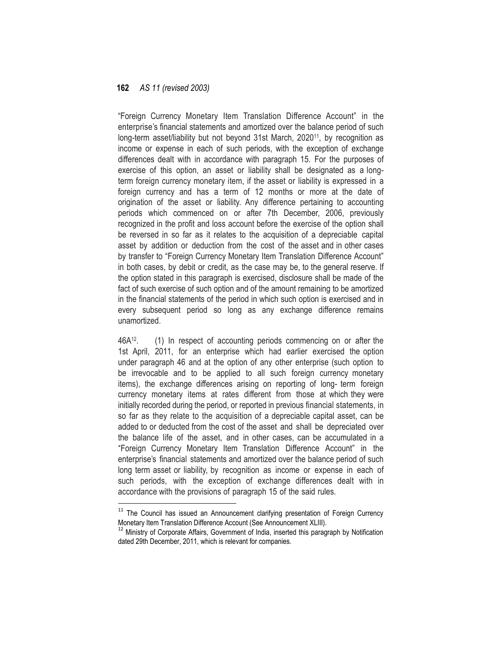l

"Foreign Currency Monetary Item Translation Difference Account" in the enterprise's financial statements and amortized over the balance period of such long-term asset/liability but not beyond 31st March, 2020<sup>11</sup>, by recognition as income or expense in each of such periods, with the exception of exchange differences dealt with in accordance with paragraph 15. For the purposes of exercise of this option, an asset or liability shall be designated as a longterm foreign currency monetary item, if the asset or liability is expressed in a foreign currency and has a term of 12 months or more at the date of origination of the asset or liability. Any difference pertaining to accounting periods which commenced on or after 7th December, 2006, previously recognized in the profit and loss account before the exercise of the option shall be reversed in so far as it relates to the acquisition of a depreciable capital asset by addition or deduction from the cost of the asset and in other cases by transfer to "Foreign Currency Monetary Item Translation Difference Account" in both cases, by debit or credit, as the case may be, to the general reserve. If the option stated in this paragraph is exercised, disclosure shall be made of the fact of such exercise of such option and of the amount remaining to be amortized in the financial statements of the period in which such option is exercised and in every subsequent period so long as any exchange difference remains unamortized.

46A<sup>12</sup> . (1) In respect of accounting periods commencing on or after the 1st April, 2011, for an enterprise which had earlier exercised the option under paragraph 46 and at the option of any other enterprise (such option to be irrevocable and to be applied to all such foreign currency monetary items), the exchange differences arising on reporting of long- term foreign currency monetary items at rates different from those at which they were initially recorded during the period, or reported in previous financial statements, in so far as they relate to the acquisition of a depreciable capital asset, can be added to or deducted from the cost of the asset and shall be depreciated over the balance life of the asset, and in other cases, can be accumulated in a ''Foreign Currency Monetary Item Translation Difference Account" in the enterprise's financial statements and amortized over the balance period of such long term asset or liability, by recognition as income or expense in each of such periods, with the exception of exchange differences dealt with in accordance with the provisions of paragraph 15 of the said rules.

 $11$  The Council has issued an Announcement clarifying presentation of Foreign Currency Monetary Item Translation Difference Account (See Announcement XLIII).

<sup>&</sup>lt;sup>12</sup> Ministry of Corporate Affairs, Government of India, inserted this paragraph by Notification dated 29th December, 2011, which is relevant for companies.